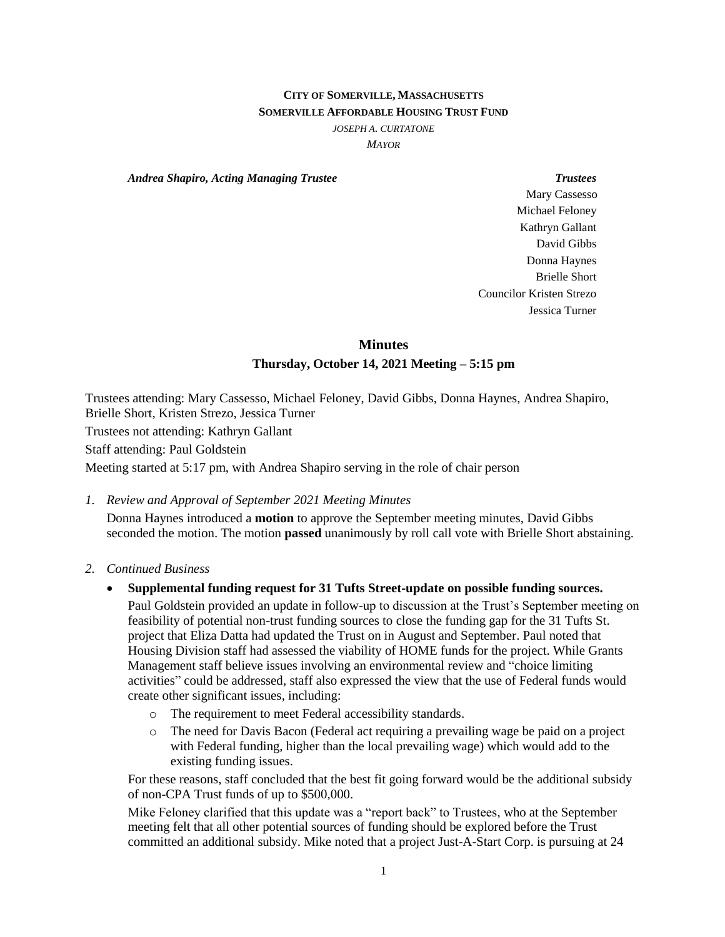# **CITY OF SOMERVILLE, MASSACHUSETTS SOMERVILLE AFFORDABLE HOUSING TRUST FUND**

*JOSEPH A. CURTATONE*

*MAYOR*

*Andrea Shapiro, Acting Managing Trustee Trustees*

Mary Cassesso Michael Feloney Kathryn Gallant David Gibbs Donna Haynes Brielle Short Councilor Kristen Strezo Jessica Turner

#### **Minutes**

**Thursday, October 14, 2021 Meeting – 5:15 pm**

Trustees attending: Mary Cassesso, Michael Feloney, David Gibbs, Donna Haynes, Andrea Shapiro, Brielle Short, Kristen Strezo, Jessica Turner Trustees not attending: Kathryn Gallant Staff attending: Paul Goldstein Meeting started at 5:17 pm, with Andrea Shapiro serving in the role of chair person

*1. Review and Approval of September 2021 Meeting Minutes* Donna Haynes introduced a **motion** to approve the September meeting minutes, David Gibbs seconded the motion. The motion **passed** unanimously by roll call vote with Brielle Short abstaining.

## *2. Continued Business*

- **Supplemental funding request for 31 Tufts Street-update on possible funding sources.** Paul Goldstein provided an update in follow-up to discussion at the Trust's September meeting on feasibility of potential non-trust funding sources to close the funding gap for the 31 Tufts St. project that Eliza Datta had updated the Trust on in August and September. Paul noted that Housing Division staff had assessed the viability of HOME funds for the project. While Grants Management staff believe issues involving an environmental review and "choice limiting activities" could be addressed, staff also expressed the view that the use of Federal funds would create other significant issues, including:
	- o The requirement to meet Federal accessibility standards.
	- o The need for Davis Bacon (Federal act requiring a prevailing wage be paid on a project with Federal funding, higher than the local prevailing wage) which would add to the existing funding issues.

For these reasons, staff concluded that the best fit going forward would be the additional subsidy of non-CPA Trust funds of up to \$500,000.

Mike Feloney clarified that this update was a "report back" to Trustees, who at the September meeting felt that all other potential sources of funding should be explored before the Trust committed an additional subsidy. Mike noted that a project Just-A-Start Corp. is pursuing at 24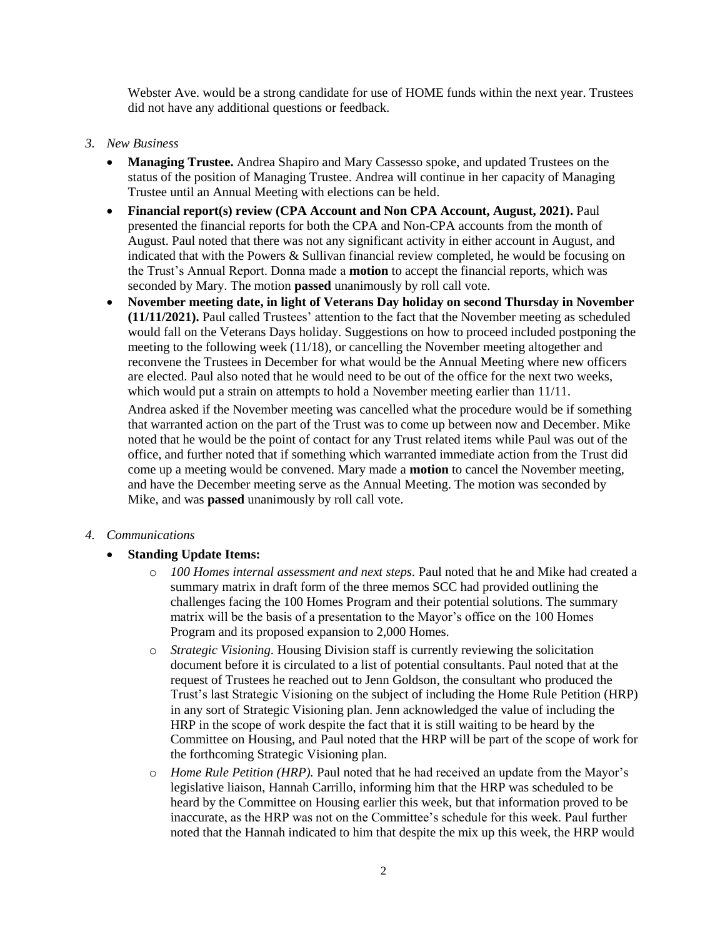Webster Ave. would be a strong candidate for use of HOME funds within the next year. Trustees did not have any additional questions or feedback.

#### *3. New Business*

- **Managing Trustee.** Andrea Shapiro and Mary Cassesso spoke, and updated Trustees on the status of the position of Managing Trustee. Andrea will continue in her capacity of Managing Trustee until an Annual Meeting with elections can be held.
- **Financial report(s) review (CPA Account and Non CPA Account, August, 2021).** Paul presented the financial reports for both the CPA and Non-CPA accounts from the month of August. Paul noted that there was not any significant activity in either account in August, and indicated that with the Powers & Sullivan financial review completed, he would be focusing on the Trust's Annual Report. Donna made a **motion** to accept the financial reports, which was seconded by Mary. The motion **passed** unanimously by roll call vote.
- **November meeting date, in light of Veterans Day holiday on second Thursday in November (11/11/2021).** Paul called Trustees' attention to the fact that the November meeting as scheduled would fall on the Veterans Days holiday. Suggestions on how to proceed included postponing the meeting to the following week (11/18), or cancelling the November meeting altogether and reconvene the Trustees in December for what would be the Annual Meeting where new officers are elected. Paul also noted that he would need to be out of the office for the next two weeks, which would put a strain on attempts to hold a November meeting earlier than  $11/11$ .

Andrea asked if the November meeting was cancelled what the procedure would be if something that warranted action on the part of the Trust was to come up between now and December. Mike noted that he would be the point of contact for any Trust related items while Paul was out of the office, and further noted that if something which warranted immediate action from the Trust did come up a meeting would be convened. Mary made a **motion** to cancel the November meeting, and have the December meeting serve as the Annual Meeting. The motion was seconded by Mike, and was **passed** unanimously by roll call vote.

## *4. Communications*

## **Standing Update Items:**

- o *100 Homes internal assessment and next steps.* Paul noted that he and Mike had created a summary matrix in draft form of the three memos SCC had provided outlining the challenges facing the 100 Homes Program and their potential solutions. The summary matrix will be the basis of a presentation to the Mayor's office on the 100 Homes Program and its proposed expansion to 2,000 Homes.
- o *Strategic Visioning.* Housing Division staff is currently reviewing the solicitation document before it is circulated to a list of potential consultants. Paul noted that at the request of Trustees he reached out to Jenn Goldson, the consultant who produced the Trust's last Strategic Visioning on the subject of including the Home Rule Petition (HRP) in any sort of Strategic Visioning plan. Jenn acknowledged the value of including the HRP in the scope of work despite the fact that it is still waiting to be heard by the Committee on Housing, and Paul noted that the HRP will be part of the scope of work for the forthcoming Strategic Visioning plan.
- o *Home Rule Petition (HRP).* Paul noted that he had received an update from the Mayor's legislative liaison, Hannah Carrillo, informing him that the HRP was scheduled to be heard by the Committee on Housing earlier this week, but that information proved to be inaccurate, as the HRP was not on the Committee's schedule for this week. Paul further noted that the Hannah indicated to him that despite the mix up this week, the HRP would